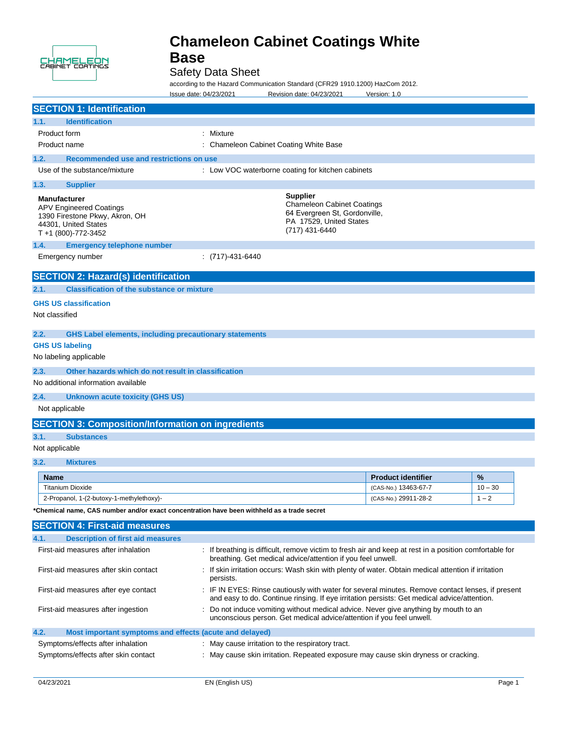

# Safety Data Sheet

ation Standard (CER20 1010 1200) HazCom 2012.

|                                                                                                                                        | accolulity to the Hazard Communication Standard (CFR29-1910.1200) HazConi 2012.<br>Issue date: 04/23/2021<br>Revision date: 04/23/2021                                | Version: 1.0              |           |
|----------------------------------------------------------------------------------------------------------------------------------------|-----------------------------------------------------------------------------------------------------------------------------------------------------------------------|---------------------------|-----------|
| <b>SECTION 1: Identification</b>                                                                                                       |                                                                                                                                                                       |                           |           |
| <b>Identification</b><br>1.1.                                                                                                          |                                                                                                                                                                       |                           |           |
| Product form                                                                                                                           | : Mixture                                                                                                                                                             |                           |           |
| Product name                                                                                                                           | : Chameleon Cabinet Coating White Base                                                                                                                                |                           |           |
| 1.2.<br>Recommended use and restrictions on use                                                                                        |                                                                                                                                                                       |                           |           |
| Use of the substance/mixture                                                                                                           | : Low VOC waterborne coating for kitchen cabinets                                                                                                                     |                           |           |
| 1.3.<br><b>Supplier</b>                                                                                                                |                                                                                                                                                                       |                           |           |
| <b>Manufacturer</b><br><b>APV Engineered Coatings</b><br>1390 Firestone Pkwy, Akron, OH<br>44301, United States<br>T +1 (800)-772-3452 | <b>Supplier</b><br><b>Chameleon Cabinet Coatings</b><br>64 Evergreen St, Gordonville,<br>PA 17529, United States<br>(717) 431-6440                                    |                           |           |
| 1.4.<br><b>Emergency telephone number</b>                                                                                              |                                                                                                                                                                       |                           |           |
| Emergency number                                                                                                                       | $:(717) - 431 - 6440$                                                                                                                                                 |                           |           |
| <b>SECTION 2: Hazard(s) identification</b>                                                                                             |                                                                                                                                                                       |                           |           |
| 2.1.<br><b>Classification of the substance or mixture</b>                                                                              |                                                                                                                                                                       |                           |           |
| <b>GHS US classification</b>                                                                                                           |                                                                                                                                                                       |                           |           |
| Not classified                                                                                                                         |                                                                                                                                                                       |                           |           |
|                                                                                                                                        |                                                                                                                                                                       |                           |           |
| 2.2.<br><b>GHS Label elements, including precautionary statements</b>                                                                  |                                                                                                                                                                       |                           |           |
| <b>GHS US labeling</b>                                                                                                                 |                                                                                                                                                                       |                           |           |
| No labeling applicable                                                                                                                 |                                                                                                                                                                       |                           |           |
| 2.3.<br>Other hazards which do not result in classification<br>No additional information available                                     |                                                                                                                                                                       |                           |           |
|                                                                                                                                        |                                                                                                                                                                       |                           |           |
| 2.4.<br><b>Unknown acute toxicity (GHS US)</b>                                                                                         |                                                                                                                                                                       |                           |           |
| Not applicable                                                                                                                         |                                                                                                                                                                       |                           |           |
| <b>SECTION 3: Composition/Information on ingredients</b>                                                                               |                                                                                                                                                                       |                           |           |
| 3.1.<br><b>Substances</b>                                                                                                              |                                                                                                                                                                       |                           |           |
| Not applicable                                                                                                                         |                                                                                                                                                                       |                           |           |
| 3.2.<br><b>Mixtures</b>                                                                                                                |                                                                                                                                                                       |                           |           |
| <b>Name</b>                                                                                                                            |                                                                                                                                                                       | <b>Product identifier</b> | %         |
| <b>Titanium Dioxide</b>                                                                                                                |                                                                                                                                                                       | (CAS-No.) 13463-67-7      | $10 - 30$ |
| 2-Propanol, 1-(2-butoxy-1-methylethoxy)-                                                                                               |                                                                                                                                                                       | (CAS-No.) 29911-28-2      | $1 - 2$   |
| *Chemical name, CAS number and/or exact concentration have been withheld as a trade secret                                             |                                                                                                                                                                       |                           |           |
| <b>SECTION 4: First-aid measures</b>                                                                                                   |                                                                                                                                                                       |                           |           |
| 4.1.<br><b>Description of first aid measures</b>                                                                                       |                                                                                                                                                                       |                           |           |
| First-aid measures after inhalation                                                                                                    | : If breathing is difficult, remove victim to fresh air and keep at rest in a position comfortable for<br>breathing. Get medical advice/attention if you feel unwell. |                           |           |
| First-aid measures after skin contact                                                                                                  | : If skin irritation occurs: Wash skin with plenty of water. Obtain medical attention if irritation                                                                   |                           |           |

persists. First-aid measures after eye contact : IF IN EYES: Rinse cautiously with water for several minutes. Remove contact lenses, if present

|      | First-aid measures after ingestion                      | and easy to do. Continue rinsing. If eye irritation persists: Get medical advice/attention.<br>Do not induce vomiting without medical advice. Never give anything by mouth to an<br>unconscious person. Get medical advice/attention if you feel unwell. |  |
|------|---------------------------------------------------------|----------------------------------------------------------------------------------------------------------------------------------------------------------------------------------------------------------------------------------------------------------|--|
| 4.2. | Most important symptoms and effects (acute and delayed) |                                                                                                                                                                                                                                                          |  |
|      | Original such that the start that is believe            | $\blacksquare$ Maii aaliaa luultatian ta tha naaninatami tuaat                                                                                                                                                                                           |  |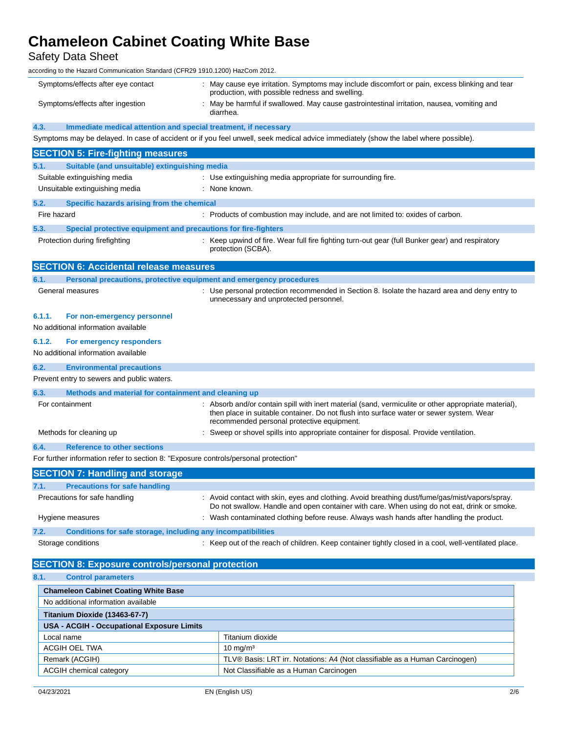Safety Data Sheet

according to the Hazard Communication Standard (CFR29 1910.1200) HazCom 2012.

|             | Symptoms/effects after eye contact                                                  | : May cause eye irritation. Symptoms may include discomfort or pain, excess blinking and tear<br>production, with possible redness and swelling.                                                                                              |
|-------------|-------------------------------------------------------------------------------------|-----------------------------------------------------------------------------------------------------------------------------------------------------------------------------------------------------------------------------------------------|
|             |                                                                                     |                                                                                                                                                                                                                                               |
|             | Symptoms/effects after ingestion                                                    | : May be harmful if swallowed. May cause gastrointestinal irritation, nausea, vomiting and<br>diarrhea.                                                                                                                                       |
|             |                                                                                     |                                                                                                                                                                                                                                               |
| 4.3.        | Immediate medical attention and special treatment, if necessary                     |                                                                                                                                                                                                                                               |
|             |                                                                                     | Symptoms may be delayed. In case of accident or if you feel unwell, seek medical advice immediately (show the label where possible).                                                                                                          |
|             | <b>SECTION 5: Fire-fighting measures</b>                                            |                                                                                                                                                                                                                                               |
| 5.1.        | Suitable (and unsuitable) extinguishing media                                       |                                                                                                                                                                                                                                               |
|             | Suitable extinguishing media                                                        | : Use extinguishing media appropriate for surrounding fire.                                                                                                                                                                                   |
|             | Unsuitable extinguishing media                                                      | : None known.                                                                                                                                                                                                                                 |
| 5.2.        | Specific hazards arising from the chemical                                          |                                                                                                                                                                                                                                               |
| Fire hazard |                                                                                     | : Products of combustion may include, and are not limited to: oxides of carbon.                                                                                                                                                               |
| 5.3.        | Special protective equipment and precautions for fire-fighters                      |                                                                                                                                                                                                                                               |
|             | Protection during firefighting                                                      | : Keep upwind of fire. Wear full fire fighting turn-out gear (full Bunker gear) and respiratory<br>protection (SCBA).                                                                                                                         |
|             | <b>SECTION 6: Accidental release measures</b>                                       |                                                                                                                                                                                                                                               |
| 6.1.        | Personal precautions, protective equipment and emergency procedures                 |                                                                                                                                                                                                                                               |
|             | General measures                                                                    | : Use personal protection recommended in Section 8. Isolate the hazard area and deny entry to<br>unnecessary and unprotected personnel.                                                                                                       |
| 6.1.1.      | For non-emergency personnel                                                         |                                                                                                                                                                                                                                               |
|             | No additional information available                                                 |                                                                                                                                                                                                                                               |
| 6.1.2.      | For emergency responders                                                            |                                                                                                                                                                                                                                               |
|             | No additional information available                                                 |                                                                                                                                                                                                                                               |
| 6.2.        | <b>Environmental precautions</b>                                                    |                                                                                                                                                                                                                                               |
|             | Prevent entry to sewers and public waters.                                          |                                                                                                                                                                                                                                               |
|             |                                                                                     |                                                                                                                                                                                                                                               |
| 6.3.        | Methods and material for containment and cleaning up                                |                                                                                                                                                                                                                                               |
|             | For containment                                                                     | : Absorb and/or contain spill with inert material (sand, vermiculite or other appropriate material),<br>then place in suitable container. Do not flush into surface water or sewer system. Wear<br>recommended personal protective equipment. |
|             | Methods for cleaning up                                                             | : Sweep or shovel spills into appropriate container for disposal. Provide ventilation.                                                                                                                                                        |
| 6.4.        | <b>Reference to other sections</b>                                                  |                                                                                                                                                                                                                                               |
|             | For further information refer to section 8: "Exposure controls/personal protection" |                                                                                                                                                                                                                                               |
|             | <b>SECTION 7: Handling and storage</b>                                              |                                                                                                                                                                                                                                               |
|             |                                                                                     |                                                                                                                                                                                                                                               |
| 7.1.        | <b>Precautions for safe handling</b><br>Precautions for safe handling               | : Avoid contact with skin, eyes and clothing. Avoid breathing dust/fume/gas/mist/vapors/spray.                                                                                                                                                |
|             |                                                                                     | Do not swallow. Handle and open container with care. When using do not eat, drink or smoke.                                                                                                                                                   |
|             | Hygiene measures                                                                    | : Wash contaminated clothing before reuse. Always wash hands after handling the product.                                                                                                                                                      |
| 7.2.        | Conditions for safe storage, including any incompatibilities                        |                                                                                                                                                                                                                                               |
|             | Storage conditions                                                                  | : Keep out of the reach of children. Keep container tightly closed in a cool, well-ventilated place.                                                                                                                                          |
|             | <b>SECTION 8: Exposure controls/personal protection</b>                             |                                                                                                                                                                                                                                               |
| 8.1.        | <b>Control parameters</b>                                                           |                                                                                                                                                                                                                                               |
|             | <b>Chameleon Cabinet Coating White Base</b>                                         |                                                                                                                                                                                                                                               |
|             | No additional information available                                                 |                                                                                                                                                                                                                                               |
|             | Titanium Dioxide (13463-67-7)                                                       |                                                                                                                                                                                                                                               |
|             | <b>USA - ACGIH - Occupational Exposure Limits</b>                                   |                                                                                                                                                                                                                                               |
|             | Local name                                                                          | Titanium dioxide                                                                                                                                                                                                                              |
|             | ACGIH OEL TWA                                                                       | $10 \text{ mg/m}^3$                                                                                                                                                                                                                           |

ACGIH chemical category **Not Classifiable as a Human Carcinogen** 

Remark (ACGIH) TLV® Basis: LRT irr. Notations: A4 (Not classifiable as a Human Carcinogen)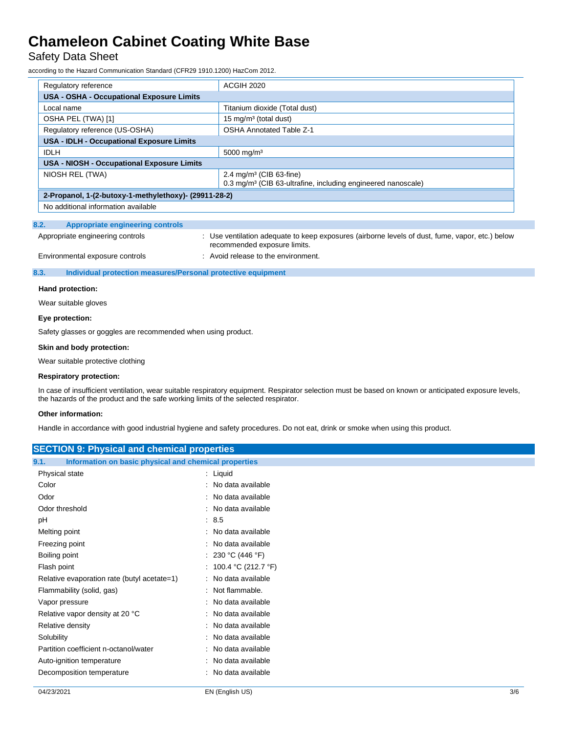# Safety Data Sheet

according to the Hazard Communication Standard (CFR29 1910.1200) HazCom 2012.

| Regulatory reference                                  | <b>ACGIH 2020</b>                                                                                              |  |
|-------------------------------------------------------|----------------------------------------------------------------------------------------------------------------|--|
| <b>USA - OSHA - Occupational Exposure Limits</b>      |                                                                                                                |  |
| Local name                                            | Titanium dioxide (Total dust)                                                                                  |  |
| OSHA PEL (TWA) [1]                                    | 15 mg/m <sup>3</sup> (total dust)                                                                              |  |
| Regulatory reference (US-OSHA)                        | <b>OSHA Annotated Table Z-1</b>                                                                                |  |
| USA - IDLH - Occupational Exposure Limits             |                                                                                                                |  |
| <b>IDLH</b>                                           | 5000 mg/m <sup>3</sup>                                                                                         |  |
| <b>USA - NIOSH - Occupational Exposure Limits</b>     |                                                                                                                |  |
| NIOSH REL (TWA)                                       | $2.4 \text{ mg/m}^3$ (CIB 63-fine)<br>0.3 mg/m <sup>3</sup> (CIB 63-ultrafine, including engineered nanoscale) |  |
| 2-Propanol, 1-(2-butoxy-1-methylethoxy)- (29911-28-2) |                                                                                                                |  |
| No additional information available                   |                                                                                                                |  |

### **8.2. Appropriate engineering controls**

| Appropriate engineering controls | Use ventilation adequate to keep exposures (airborne levels of dust, fume, vapor, etc.) below<br>recommended exposure limits. |
|----------------------------------|-------------------------------------------------------------------------------------------------------------------------------|
| Environmental exposure controls  | : Avoid release to the environment.                                                                                           |

#### **8.3. Individual protection measures/Personal protective equipment**

#### **Hand protection:**

Wear suitable gloves

#### **Eye protection:**

Safety glasses or goggles are recommended when using product.

#### **Skin and body protection:**

Wear suitable protective clothing

### **Respiratory protection:**

In case of insufficient ventilation, wear suitable respiratory equipment. Respirator selection must be based on known or anticipated exposure levels, the hazards of the product and the safe working limits of the selected respirator.

#### **Other information:**

Handle in accordance with good industrial hygiene and safety procedures. Do not eat, drink or smoke when using this product.

| <b>SECTION 9: Physical and chemical properties</b>            |                       |  |
|---------------------------------------------------------------|-----------------------|--|
| Information on basic physical and chemical properties<br>9.1. |                       |  |
| Physical state                                                | : Liquid              |  |
| Color                                                         | : No data available   |  |
| Odor                                                          | : No data available   |  |
| Odor threshold                                                | : No data available   |  |
| pH                                                            | : 8.5                 |  |
| Melting point                                                 | : No data available   |  |
| Freezing point                                                | : No data available   |  |
| Boiling point                                                 | : 230 °C (446 °F)     |  |
| Flash point                                                   | : 100.4 °C (212.7 °F) |  |
| Relative evaporation rate (butyl acetate=1)                   | : No data available   |  |
| Flammability (solid, gas)                                     | : Not flammable.      |  |
| Vapor pressure                                                | : No data available   |  |
| Relative vapor density at 20 °C                               | : No data available   |  |
| Relative density                                              | : No data available   |  |
| Solubility                                                    | : No data available   |  |
| Partition coefficient n-octanol/water                         | : No data available   |  |
| Auto-ignition temperature                                     | : No data available   |  |
| Decomposition temperature                                     | : No data available   |  |
|                                                               |                       |  |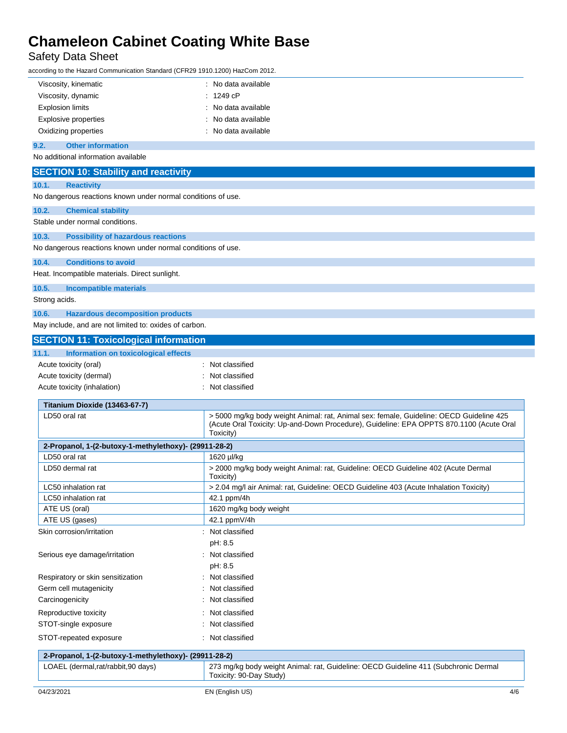# Safety Data Sheet

according to the Hazard Communication Standard (CFR29 1910.1200) HazCom 2012.

| Viscosity, kinematic                                         | : No data available |
|--------------------------------------------------------------|---------------------|
| Viscosity, dynamic                                           | : 1249cP            |
| <b>Explosion limits</b>                                      | : No data available |
| <b>Explosive properties</b>                                  | : No data available |
| Oxidizing properties                                         | : No data available |
| <b>Other information</b><br>9.2.                             |                     |
| No additional information available                          |                     |
| <b>SECTION 10: Stability and reactivity</b>                  |                     |
| 10.1.<br><b>Reactivity</b>                                   |                     |
| No dangerous reactions known under normal conditions of use. |                     |
| 10.2.<br><b>Chemical stability</b>                           |                     |
| Stable under normal conditions.                              |                     |

| 10.3. | <b>Possibility of hazardous reactions</b> |  |
|-------|-------------------------------------------|--|

No dangerous reactions known under normal conditions of use.

**10.4. Conditions to avoid**

Heat. Incompatible materials. Direct sunlight.

**10.5. Incompatible materials**

Strong acids.

## **10.6. Hazardous decomposition products**

May include, and are not limited to: oxides of carbon.

| : Not classified |
|------------------|
| : Not classified |
| : Not classified |
|                  |
|                  |

| LD50 oral rat                                         | > 5000 mg/kg body weight Animal: rat, Animal sex: female, Guideline: OECD Guideline 425<br>(Acute Oral Toxicity: Up-and-Down Procedure), Guideline: EPA OPPTS 870.1100 (Acute Oral<br>Toxicity) |
|-------------------------------------------------------|-------------------------------------------------------------------------------------------------------------------------------------------------------------------------------------------------|
| 2-Propanol, 1-(2-butoxy-1-methylethoxy)- (29911-28-2) |                                                                                                                                                                                                 |
| LD50 oral rat                                         | 1620 µl/kg                                                                                                                                                                                      |
| LD50 dermal rat                                       | > 2000 mg/kg body weight Animal: rat, Guideline: OECD Guideline 402 (Acute Dermal<br>Toxicity)                                                                                                  |
| LC50 inhalation rat                                   | > 2.04 mg/l air Animal: rat, Guideline: OECD Guideline 403 (Acute Inhalation Toxicity)                                                                                                          |
| LC50 inhalation rat                                   | 42.1 ppm/4h                                                                                                                                                                                     |
| ATE US (oral)                                         | 1620 mg/kg body weight                                                                                                                                                                          |
| ATE US (gases)                                        | 42.1 ppmV/4h                                                                                                                                                                                    |
| Skin corrosion/irritation                             | : Not classified                                                                                                                                                                                |
|                                                       | pH: 8.5                                                                                                                                                                                         |
| Serious eye damage/irritation                         | : Not classified                                                                                                                                                                                |
|                                                       | pH: 8.5                                                                                                                                                                                         |
| Respiratory or skin sensitization                     | : Not classified                                                                                                                                                                                |
| Germ cell mutagenicity                                | Not classified                                                                                                                                                                                  |
| Carcinogenicity                                       | : Not classified                                                                                                                                                                                |
| Reproductive toxicity                                 | : Not classified                                                                                                                                                                                |
| STOT-single exposure                                  | : Not classified                                                                                                                                                                                |
| STOT-repeated exposure                                | : Not classified                                                                                                                                                                                |
| 2-Propanol, 1-(2-butoxy-1-methylethoxy)- (29911-28-2) |                                                                                                                                                                                                 |
| LOAEL (dermal.rat/rabbit,90 days)                     | 273 mg/kg body weight Animal: rat, Guideline: OECD Guideline 411 (Subchronic Dermal<br>Toxicity: 90-Day Study)                                                                                  |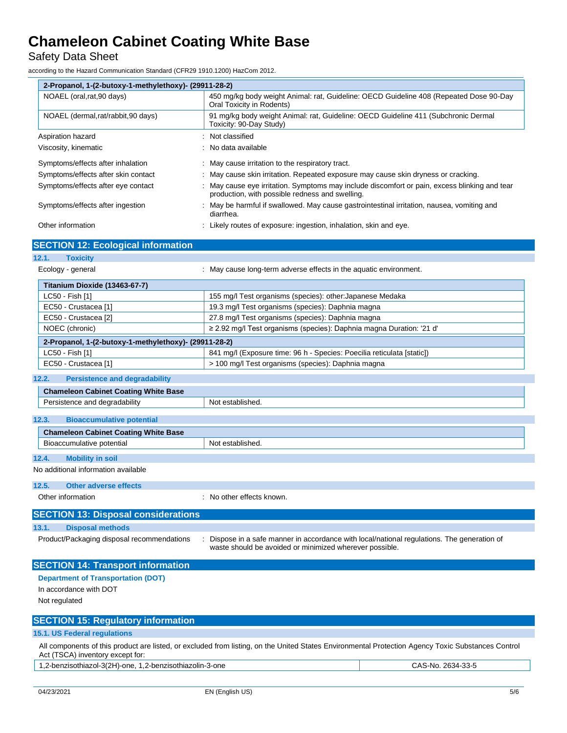Safety Data Sheet

according to the Hazard Communication Standard (CFR29 1910.1200) HazCom 2012.

| 2-Propanol, 1-(2-butoxy-1-methylethoxy)- (29911-28-2) |                                                                                                                                                |  |
|-------------------------------------------------------|------------------------------------------------------------------------------------------------------------------------------------------------|--|
| NOAEL (oral, rat, 90 days)                            | 450 mg/kg body weight Animal: rat, Guideline: OECD Guideline 408 (Repeated Dose 90-Day<br>Oral Toxicity in Rodents)                            |  |
| NOAEL (dermal, rat/rabbit, 90 days)                   | 91 mg/kg body weight Animal: rat, Guideline: OECD Guideline 411 (Subchronic Dermal<br>Toxicity: 90-Day Study)                                  |  |
| Aspiration hazard                                     | Not classified                                                                                                                                 |  |
| Viscosity, kinematic                                  | No data available                                                                                                                              |  |
| Symptoms/effects after inhalation                     | : May cause irritation to the respiratory tract.                                                                                               |  |
| Symptoms/effects after skin contact                   | : May cause skin irritation. Repeated exposure may cause skin dryness or cracking.                                                             |  |
| Symptoms/effects after eye contact                    | May cause eye irritation. Symptoms may include discomfort or pain, excess blinking and tear<br>production, with possible redness and swelling. |  |
| Symptoms/effects after ingestion                      | May be harmful if swallowed. May cause gastrointestinal irritation, nausea, vomiting and<br>diarrhea.                                          |  |
| Other information                                     | Likely routes of exposure: ingestion, inhalation, skin and eye.                                                                                |  |
| <b>SECTION 12: Ecological information</b>             |                                                                                                                                                |  |
| 12.1.<br><b>Toxicity</b>                              |                                                                                                                                                |  |
| Ecology - general                                     | May cause long-term adverse effects in the aquatic environment.                                                                                |  |
| Titanium Dioxide (13463-67-7)                         |                                                                                                                                                |  |
| $1 \cap E \cap E$ $E(A)$                              | <u>AEE mall Toot arganisms (anogias)</u> , other: Ionanoge Medelco                                                                             |  |

| LC50 - Fish [1]                                       | 155 mg/l Test organisms (species): other: Japanese Medaka                |
|-------------------------------------------------------|--------------------------------------------------------------------------|
| EC50 - Crustacea [1]                                  | 19.3 mg/l Test organisms (species): Daphnia magna                        |
| EC50 - Crustacea [2]                                  | 27.8 mg/l Test organisms (species): Daphnia magna                        |
| NOEC (chronic)                                        | $\ge$ 2.92 mg/l Test organisms (species): Daphnia magna Duration: '21 d' |
| 2-Propanol, 1-(2-butoxy-1-methylethoxy)- (29911-28-2) |                                                                          |
| LC50 - Fish [1]                                       | 841 mg/l (Exposure time: 96 h - Species: Poecilia reticulata [static])   |
| EC50 - Crustacea [1]                                  | > 100 mg/l Test organisms (species): Daphnia magna                       |

### **12.2. Persistence and degradability**

|                                           | <b>Chameleon Cabinet Coating White Base</b> |                  |  |  |
|-------------------------------------------|---------------------------------------------|------------------|--|--|
|                                           | Persistence and degradability               | Not established. |  |  |
|                                           |                                             |                  |  |  |
| 12.3.<br><b>Bioaccumulative potential</b> |                                             |                  |  |  |
|                                           | <b>Chameleon Cabinet Coating White Base</b> |                  |  |  |
|                                           | Bioaccumulative potential                   | Not established. |  |  |
|                                           |                                             |                  |  |  |
| 12.4.<br><b>Mobility in soil</b>          |                                             |                  |  |  |

## No additional information available

**12.5. Other adverse effects**

Other information  $\qquad \qquad$ : No other effects known. **SECTION 13: Disposal considerations 13.1. Disposal methods** Product/Packaging disposal recommendations : Dispose in a safe manner in accordance with local/national regulations. The generation of waste should be avoided or minimized wherever possible. **SECTION 14: Transport information Department of Transportation (DOT)**

# **SECTION 15: Regulatory information**

**15.1. US Federal regulations**

In accordance with DOT

Not regulated

All components of this product are listed, or excluded from listing, on the United States Environmental Protection Agency Toxic Substances Control Act (TSCA) inventory except for:

| 1,2-benzisothiazol-3(2H)-one, 1,2-benzisothiazolin-3-one |
|----------------------------------------------------------|
|                                                          |

CAS-No. 2634-33-5